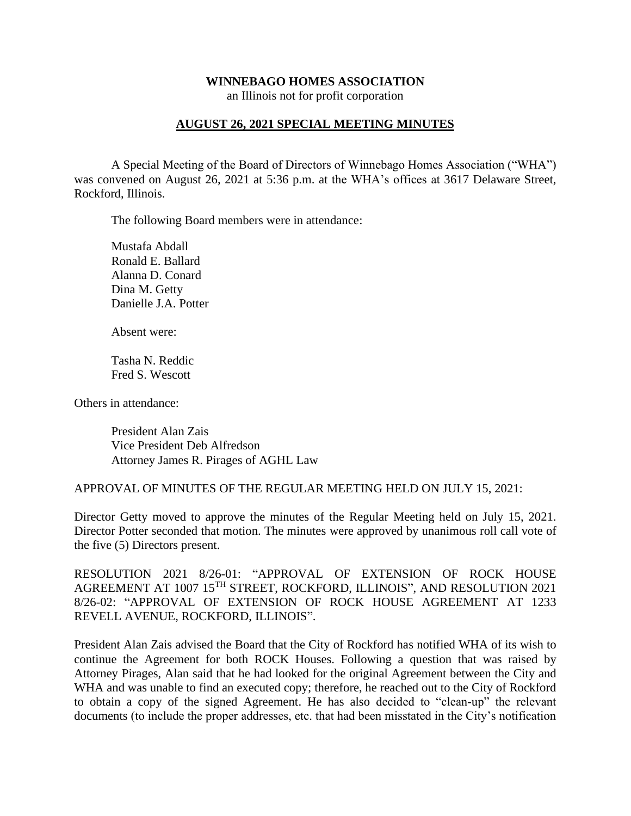#### **WINNEBAGO HOMES ASSOCIATION**

an Illinois not for profit corporation

## **AUGUST 26, 2021 SPECIAL MEETING MINUTES**

A Special Meeting of the Board of Directors of Winnebago Homes Association ("WHA") was convened on August 26, 2021 at 5:36 p.m. at the WHA's offices at 3617 Delaware Street, Rockford, Illinois.

The following Board members were in attendance:

Mustafa Abdall Ronald E. Ballard Alanna D. Conard Dina M. Getty Danielle J.A. Potter

Absent were:

Tasha N. Reddic Fred S. Wescott

Others in attendance:

President Alan Zais Vice President Deb Alfredson Attorney James R. Pirages of AGHL Law

APPROVAL OF MINUTES OF THE REGULAR MEETING HELD ON JULY 15, 2021:

Director Getty moved to approve the minutes of the Regular Meeting held on July 15, 2021. Director Potter seconded that motion. The minutes were approved by unanimous roll call vote of the five (5) Directors present.

RESOLUTION 2021 8/26-01: "APPROVAL OF EXTENSION OF ROCK HOUSE AGREEMENT AT 1007 15TH STREET, ROCKFORD, ILLINOIS", AND RESOLUTION 2021 8/26-02: "APPROVAL OF EXTENSION OF ROCK HOUSE AGREEMENT AT 1233 REVELL AVENUE, ROCKFORD, ILLINOIS".

President Alan Zais advised the Board that the City of Rockford has notified WHA of its wish to continue the Agreement for both ROCK Houses. Following a question that was raised by Attorney Pirages, Alan said that he had looked for the original Agreement between the City and WHA and was unable to find an executed copy; therefore, he reached out to the City of Rockford to obtain a copy of the signed Agreement. He has also decided to "clean-up" the relevant documents (to include the proper addresses, etc. that had been misstated in the City's notification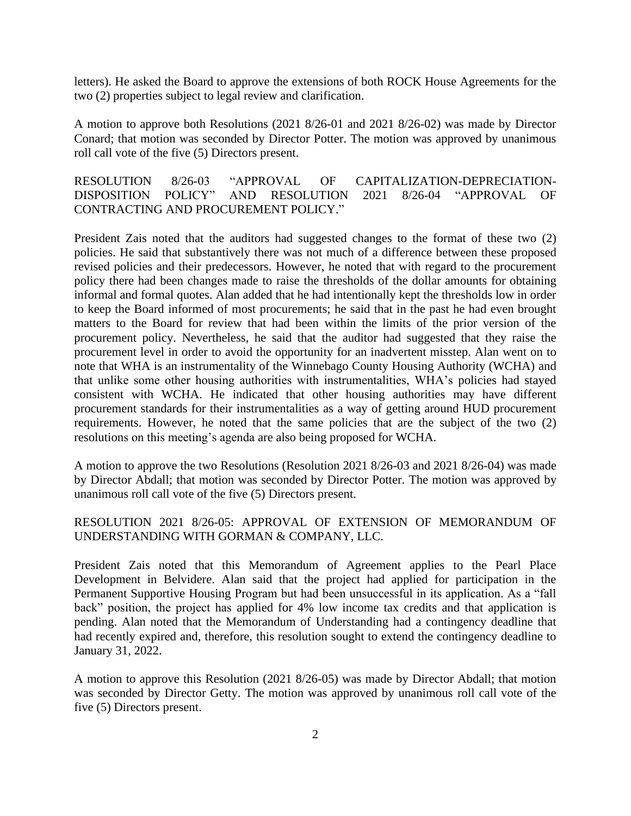letters). He asked the Board to approve the extensions of both ROCK House Agreements for the two (2) properties subject to legal review and clarification.

A motion to approve both Resolutions (2021 8/26-01 and 2021 8/26-02) was made by Director Conard; that motion was seconded by Director Potter. The motion was approved by unanimous roll call vote of the five (5) Directors present.

RESOLUTION 8/26-03 "APPROVAL OF CAPITALIZATION-DEPRECIATION-DISPOSITION POLICY" AND RESOLUTION 2021 8/26-04 "APPROVAL OF CONTRACTING AND PROCUREMENT POLICY."

President Zais noted that the auditors had suggested changes to the format of these two (2) policies. He said that substantively there was not much of a difference between these proposed revised policies and their predecessors. However, he noted that with regard to the procurement policy there had been changes made to raise the thresholds of the dollar amounts for obtaining informal and formal quotes. Alan added that he had intentionally kept the thresholds low in order to keep the Board informed of most procurements; he said that in the past he had even brought matters to the Board for review that had been within the limits of the prior version of the procurement policy. Nevertheless, he said that the auditor had suggested that they raise the procurement level in order to avoid the opportunity for an inadvertent misstep. Alan went on to note that WHA is an instrumentality of the Winnebago County Housing Authority (WCHA) and that unlike some other housing authorities with instrumentalities, WHA's policies had stayed consistent with WCHA. He indicated that other housing authorities may have different procurement standards for their instrumentalities as a way of getting around HUD procurement requirements. However, he noted that the same policies that are the subject of the two (2) resolutions on this meeting's agenda are also being proposed for WCHA.

A motion to approve the two Resolutions (Resolution 2021 8/26-03 and 2021 8/26-04) was made by Director Abdall; that motion was seconded by Director Potter. The motion was approved by unanimous roll call vote of the five (5) Directors present.

## RESOLUTION 2021 8/26-05: APPROVAL OF EXTENSION OF MEMORANDUM OF UNDERSTANDING WITH GORMAN & COMPANY, LLC.

President Zais noted that this Memorandum of Agreement applies to the Pearl Place Development in Belvidere. Alan said that the project had applied for participation in the Permanent Supportive Housing Program but had been unsuccessful in its application. As a "fall back" position, the project has applied for 4% low income tax credits and that application is pending. Alan noted that the Memorandum of Understanding had a contingency deadline that had recently expired and, therefore, this resolution sought to extend the contingency deadline to January 31, 2022.

A motion to approve this Resolution (2021 8/26-05) was made by Director Abdall; that motion was seconded by Director Getty. The motion was approved by unanimous roll call vote of the five (5) Directors present.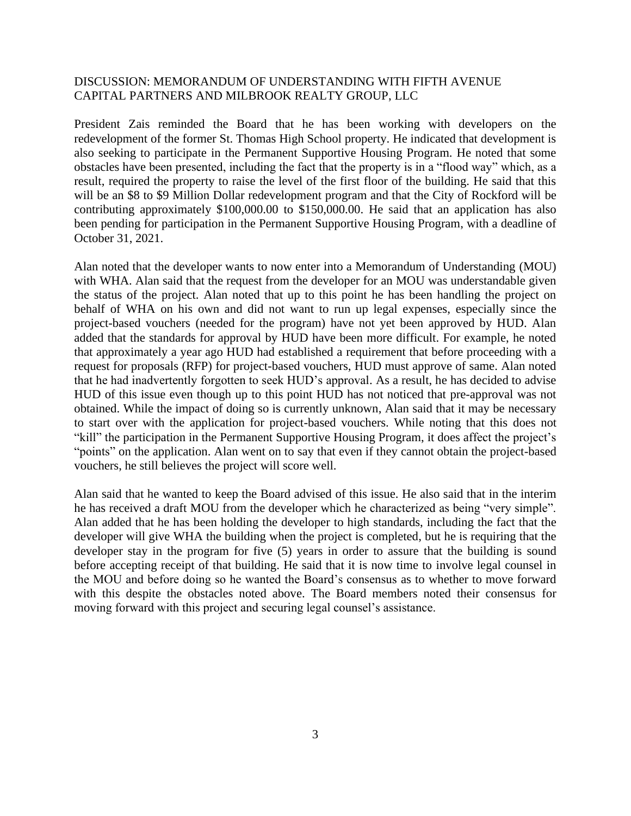#### DISCUSSION: MEMORANDUM OF UNDERSTANDING WITH FIFTH AVENUE CAPITAL PARTNERS AND MILBROOK REALTY GROUP, LLC

President Zais reminded the Board that he has been working with developers on the redevelopment of the former St. Thomas High School property. He indicated that development is also seeking to participate in the Permanent Supportive Housing Program. He noted that some obstacles have been presented, including the fact that the property is in a "flood way" which, as a result, required the property to raise the level of the first floor of the building. He said that this will be an \$8 to \$9 Million Dollar redevelopment program and that the City of Rockford will be contributing approximately \$100,000.00 to \$150,000.00. He said that an application has also been pending for participation in the Permanent Supportive Housing Program, with a deadline of October 31, 2021.

Alan noted that the developer wants to now enter into a Memorandum of Understanding (MOU) with WHA. Alan said that the request from the developer for an MOU was understandable given the status of the project. Alan noted that up to this point he has been handling the project on behalf of WHA on his own and did not want to run up legal expenses, especially since the project-based vouchers (needed for the program) have not yet been approved by HUD. Alan added that the standards for approval by HUD have been more difficult. For example, he noted that approximately a year ago HUD had established a requirement that before proceeding with a request for proposals (RFP) for project-based vouchers, HUD must approve of same. Alan noted that he had inadvertently forgotten to seek HUD's approval. As a result, he has decided to advise HUD of this issue even though up to this point HUD has not noticed that pre-approval was not obtained. While the impact of doing so is currently unknown, Alan said that it may be necessary to start over with the application for project-based vouchers. While noting that this does not "kill" the participation in the Permanent Supportive Housing Program, it does affect the project's "points" on the application. Alan went on to say that even if they cannot obtain the project-based vouchers, he still believes the project will score well.

Alan said that he wanted to keep the Board advised of this issue. He also said that in the interim he has received a draft MOU from the developer which he characterized as being "very simple". Alan added that he has been holding the developer to high standards, including the fact that the developer will give WHA the building when the project is completed, but he is requiring that the developer stay in the program for five (5) years in order to assure that the building is sound before accepting receipt of that building. He said that it is now time to involve legal counsel in the MOU and before doing so he wanted the Board's consensus as to whether to move forward with this despite the obstacles noted above. The Board members noted their consensus for moving forward with this project and securing legal counsel's assistance.